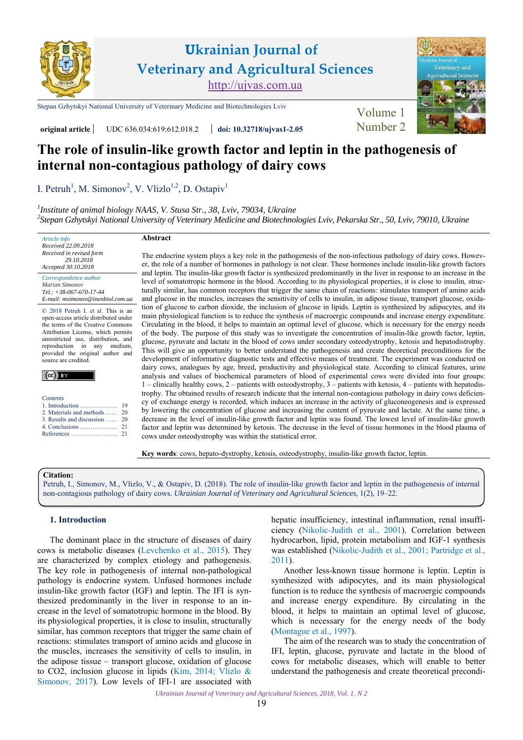

## **Ukrainian Journal of Veterinary and Agricultural Sciences** [http://ujvas.com.ua](https://ujvas.com.ua)

[Stepan Gzhytskyi National University of Veterinary Medicine and Biotechnologies Lviv](https://lvet.edu.ua) Volume 1

uiltural Scie

**original article** UDC 636.034:619:612.018.2 **[doi: 10.32718/ujvas1-2.05](https://doi.org/10.32718/ujvas1-2.05)** [Number 2](https://ujvas.com.ua/index.php/journal/issue/view/2)

# **The role of insulin-like growth factor and leptin in the pathogenesis of internal non-contagious pathology of dairy cows**

[I. Petruh](https://orcid.org/0000-0002-6686-2127)<sup>1</sup>, [M. Simonov](http://orcid.org/0000-0001-6691-6773)<sup>2</sup>, [V. Vlizlo](https://orcid.org/0000-0002-7685-9853)<sup>1,2</sup>, D. Ostapiv<sup>1</sup>

*1 [Institute of animal biology NAAS, V. Stusa Str., 38, Lviv, 79034, Ukraine](https://www.inenbiol.com) 2 [Stepan Gzhytskyi National University of Veterinary Medicine and Biotechnologies Lviv, Pekarska Str., 50, Lviv, 79010, Ukraine](https://lvet.edu.ua)* 

**Abstract** 

*Accepted 30.10.2018 Correspondence author [Marian Simonov](https://scholar.google.com.ua/citations?hl=ru&user=Zy55_fQAAAAJ) Tel.: +38-067-670-17-44 E-mail: msimonov@inenbiol.com.ua* 

*Article info Received 22.09.2018 Received in revised form 29.10.2018* 

© 2018 Petruh I. et al. This is an open-access article distributed under the terms of the Creative Commons Attribution License, which permits unrestricted use, distribution, and reproduction in any medium, provided the original author and source are credited.

| Contents |  |
|----------|--|

| 2. Materials and methods  20 |  |  |  |
|------------------------------|--|--|--|
|                              |  |  |  |

[3. Results and discussion …...](#page-1-0) [4. Conclusions ………………](#page-2-0) [20](#page-1-0)

The endocrine system plays a key role in the pathogenesis of the non-infectious pathology of dairy cows. However, the role of a number of hormones in pathology is not clear. These hormones include insulin-like growth factors and leptin. The insulin-like growth factor is synthesized predominantly in the liver in response to an increase in the level of somatotropic hormone in the blood. According to its physiological properties, it is close to insulin, structurally similar, has common receptors that trigger the same chain of reactions: stimulates transport of amino acids and glucose in the muscles, increases the sensitivity of cells to insulin, in adipose tissue, transport glucose, oxidation of glucose to carbon dioxide, the inclusion of glucose in lipids. Leptin is synthesized by adipocytes, and its main physiological function is to reduce the synthesis of macroergic compounds and increase energy expenditure. Circulating in the blood, it helps to maintain an optimal level of glucose, which is necessary for the energy needs of the body. The purpose of this study was to investigate the concentration of insulin-like growth factor, leptin, glucose, pyruvate and lactate in the blood of cows under secondary osteodystrophy, ketosis and hepatodistrophy. This will give an opportunity to better understand the pathogenesis and create theoretical preconditions for the development of informative diagnostic tests and effective means of treatment. The experiment was conducted on dairy cows, analogues by age, breed, productivity and physiological state. According to clinical features, urine analysis and values of biochemical parameters of blood of experimental cows were divided into four groups: 1 – clinically healthy cows, 2 – patients with osteodystrophy, 3 – patients with ketosis, 4 – patients with hepatodistrophy. The obtained results of research indicate that the internal non-contagious pathology in dairy cows deficiency of exchange energy is recorded, which induces an increase in the activity of gluconeogenesis and is expressed by lowering the concentration of glucose and increasing the content of pyruvate and lactate. At the same time, a decrease in the level of insulin-like growth factor and leptin was found. The lowest level of insulin-like growth factor and leptin was determined by ketosis. The decrease in the level of tissue hormones in the blood plasma of cows under osteodystrophy was within the statistical error.

**Key words**: cows, hepato-dystrophy, ketosis, osteodystrophy, insulin-like growth factor, leptin.

#### **Citation:**

[Petruh, I., Simonov, M., Vlizlo, V., & Ostapiv, D. \(2018\). The role of insulin-like growth factor and leptin in the pathogenesis of internal](https://doi.org/10.32718/ujvas1-2.05) non-contagious pathology of dairy cows. *Ukrainian Journal of Veterinary and Agricultural Sciences*, 1(2), 19–22.

#### **1. Introduction**

The dominant place in the structure of diseases of dairy cows is metabolic diseases ([Levchenko et al., 2015](#page-3-0)). They are characterized by complex etiology and pathogenesis. The key role in pathogenesis of internal non-pathological pathology is endocrine system. Unfused hormones include insulin-like growth factor (IGF) and leptin. The IFI is synthesized predominantly in the liver in response to an increase in the level of somatotropic hormone in the blood. By its physiological properties, it is close to insulin, structurally similar, has common receptors that trigger the same chain of reactions: stimulates transport of amino acids and glucose in the muscles, increases the sensitivity of cells to insulin, in the adipose tissue – transport glucose, oxidation of glucose to CO2, inclusion glucose in lipids ([Kim, 2014](#page-3-0); [Vlizlo &](#page-2-0) [Simonov, 2017\)](#page-2-0). Low levels of IFI-1 are associated with

hepatic insufficiency, intestinal inflammation, renal insufficiency ([Nikolic-Judith et al., 2001](#page-3-0)). Correlation between hydrocarbon, lipid, protein metabolism and IGF-1 synthesis was established (Nikolic-Judith et al., 2001; [Partridge et al.,](#page-3-0)  [2011](#page-3-0)).

Another less-known tissue hormone is leptin. Leptin is synthesized with adipocytes, and its main physiological function is to reduce the synthesis of macroergic compounds and increase energy expenditure. By circulating in the blood, it helps to maintain an optimal level of glucose, which is necessary for the energy needs of the body [\(Montague et al., 1997\)](#page-3-0).

The aim of the research was to study the concentration of IFI, leptin, glucose, pyruvate and lactate in the blood of cows for metabolic diseases, which will enable to better understand the pathogenesis and create theoretical precondi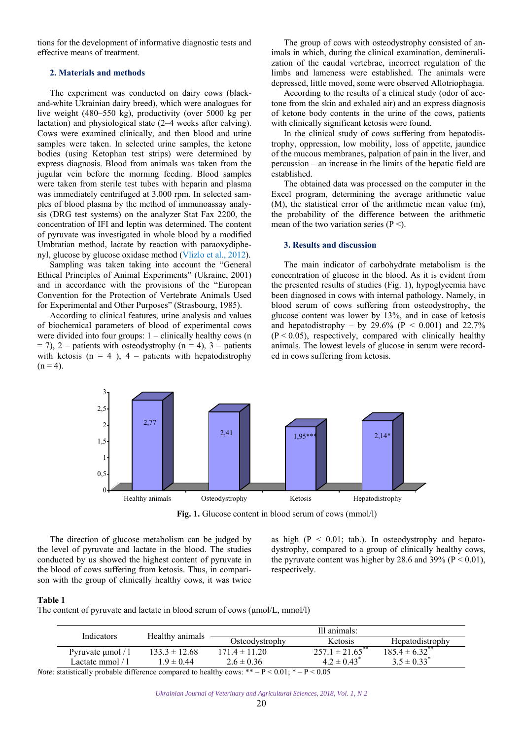<span id="page-1-0"></span>tions for the development of informative diagnostic tests and effective means of treatment.

## **2. Materials and methods**

The experiment was conducted on dairy cows (blackand-white Ukrainian dairy breed), which were analogues for live weight (480–550 kg), productivity (over 5000 kg per lactation) and physiological state (2–4 weeks after calving). Cows were examined clinically, and then blood and urine samples were taken. In selected urine samples, the ketone bodies (using Ketophan test strips) were determined by express diagnosis. Blood from animals was taken from the jugular vein before the morning feeding. Blood samples were taken from sterile test tubes with heparin and plasma was immediately centrifuged at 3.000 rpm. In selected samples of blood plasma by the method of immunoassay analysis (DRG test systems) on the analyzer Stat Fax 2200, the concentration of IFI and leptin was determined. The content of pyruvate was investigated in whole blood by a modified Umbratian method, lactate by reaction with paraoxydiphenyl, glucose by glucose oxidase method ([Vlizlo et al., 2012\)](#page-3-0).

Sampling was taken taking into account the "General Ethical Principles of Animal Experiments" (Ukraine, 2001) and in accordance with the provisions of the "European Convention for the Protection of Vertebrate Animals Used for Experimental and Other Purposes" (Strasbourg, 1985).

According to clinical features, urine analysis and values of biochemical parameters of blood of experimental cows were divided into four groups:  $1 -$  clinically healthy cows (n  $= 7$ ), 2 – patients with osteodystrophy (n = 4), 3 – patients with ketosis ( $n = 4$ ),  $4$  – patients with hepatodistrophy  $(n = 4)$ .

The group of cows with osteodystrophy consisted of animals in which, during the clinical examination, demineralization of the caudal vertebrae, incorrect regulation of the limbs and lameness were established. The animals were depressed, little moved, some were observed Allotriophagia.

According to the results of a clinical study (odor of acetone from the skin and exhaled air) and an express diagnosis of ketone body contents in the urine of the cows, patients with clinically significant ketosis were found.

In the clinical study of cows suffering from hepatodistrophy, oppression, low mobility, loss of appetite, jaundice of the mucous membranes, palpation of pain in the liver, and percussion – an increase in the limits of the hepatic field are established.

The obtained data was processed on the computer in the Excel program, determining the average arithmetic value (M), the statistical error of the arithmetic mean value (m), the probability of the difference between the arithmetic mean of the two variation series  $(P \leq)$ .

### **3. Results and discussion**

The main indicator of carbohydrate metabolism is the concentration of glucose in the blood. As it is evident from the presented results of studies (Fig. 1), hypoglycemia have been diagnosed in cows with internal pathology. Namely, in blood serum of cows suffering from osteodystrophy, the glucose content was lower by 13%, and in case of ketosis and hepatodistrophy – by 29.6% ( $P < 0.001$ ) and 22.7%  $(P < 0.05)$ , respectively, compared with clinically healthy animals. The lowest levels of glucose in serum were recorded in cows suffering from ketosis.



Fig. 1. Glucose content in blood serum of cows (mmol/l)

The direction of glucose metabolism can be judged by the level of pyruvate and lactate in the blood. The studies conducted by us showed the highest content of pyruvate in the blood of cows suffering from ketosis. Thus, in comparison with the group of clinically healthy cows, it was twice

as high  $(P < 0.01$ ; tab.). In osteodystrophy and hepatodystrophy, compared to a group of clinically healthy cows, the pyruvate content was higher by 28.6 and 39% ( $P < 0.01$ ), respectively.

#### **Table 1**

The content of pyruvate and lactate in blood serum of cows (μmol/L, mmol/l)

|                                                                                                  | Indicators             |                   | Ill animals:      |                                 |                                |  |  |
|--------------------------------------------------------------------------------------------------|------------------------|-------------------|-------------------|---------------------------------|--------------------------------|--|--|
|                                                                                                  |                        | Healthy animals   | Osteodystrophy    | Ketosis                         | Hepatodistrophy                |  |  |
|                                                                                                  | Pyruvate $\mu$ mol / l | $133.3 \pm 12.68$ | $171.4 \pm 11.20$ | $257.1 \pm 21.65$ <sup>**</sup> | $185.4 \pm 6.32$ <sup>**</sup> |  |  |
|                                                                                                  | Lactate mmol / l       | $1.9 \pm 0.44$    | $2.6 \pm 0.36$    | $4.2 \pm 0.43$ <sup>*</sup>     | $3.5 \pm 0.33^*$               |  |  |
| Note: statistically probable difference compared to bealthy cows: ** $-D < 0.01$ · * $-D < 0.05$ |                        |                   |                   |                                 |                                |  |  |

*Note:* statistically probable difference compared to healthy cows:  $** - P < 0.01$ ;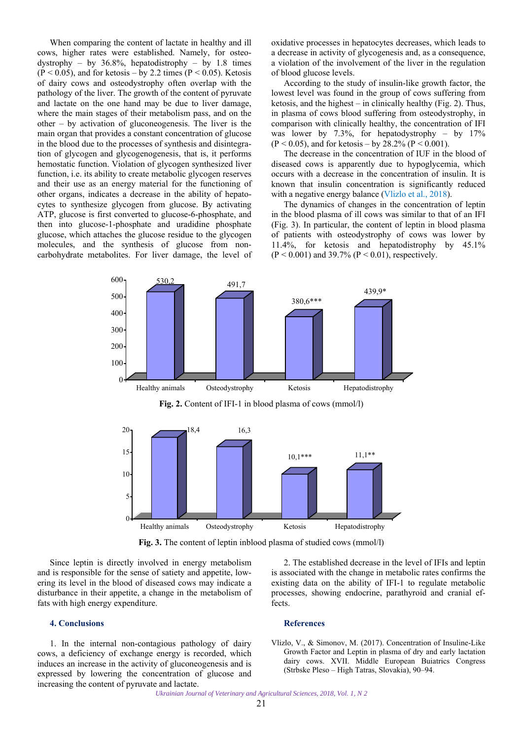<span id="page-2-0"></span>When comparing the content of lactate in healthy and ill cows, higher rates were established. Namely, for osteodystrophy – by  $36.8\%$ , hepatodistrophy – by 1.8 times  $(P < 0.05)$ , and for ketosis – by 2.2 times  $(P < 0.05)$ . Ketosis of dairy cows and osteodystrophy often overlap with the pathology of the liver. The growth of the content of pyruvate and lactate on the one hand may be due to liver damage, where the main stages of their metabolism pass, and on the other – by activation of gluconeogenesis. The liver is the main organ that provides a constant concentration of glucose in the blood due to the processes of synthesis and disintegration of glycogen and glycogenogenesis, that is, it performs hemostatic function. Violation of glycogen synthesized liver function, i.e. its ability to create metabolic glycogen reserves and their use as an energy material for the functioning of other organs, indicates a decrease in the ability of hepatocytes to synthesize glycogen from glucose. By activating ATP, glucose is first converted to glucose-6-phosphate, and then into glucose-1-phosphate and uradidine phosphate glucose, which attaches the glucose residue to the glycogen molecules, and the synthesis of glucose from noncarbohydrate metabolites. For liver damage, the level of oxidative processes in hepatocytes decreases, which leads to a decrease in activity of glycogenesis and, as a consequence, a violation of the involvement of the liver in the regulation of blood glucose levels.

According to the study of insulin-like growth factor, the lowest level was found in the group of cows suffering from ketosis, and the highest – in clinically healthy (Fig. 2). Thus, in plasma of cows blood suffering from osteodystrophy, in comparison with clinically healthy, the concentration of IFI was lower by 7.3%, for hepatodystrophy – by  $17\%$  $(P < 0.05)$ , and for ketosis – by 28.2%  $(P < 0.001)$ .

The decrease in the concentration of IUF in the blood of diseased cows is apparently due to hypoglycemia, which occurs with a decrease in the concentration of insulin. It is known that insulin concentration is significantly reduced with a negative energy balance [\(Vlizlo et al.,](#page-3-0) 2018).

The dynamics of changes in the concentration of leptin in the blood plasma of ill cows was similar to that of an IFI (Fig. 3). In particular, the content of leptin in blood plasma of patients with osteodystrophy of cows was lower by 11.4%, for ketosis and hepatodistrophy by 45.1%  $(P < 0.001)$  and 39.7%  $(P < 0.01)$ , respectively.



**Fig. 2.** Content of IFI-1 in blood plasma of cows (mmol/l)



**Fig. 3.** The content of leptin inblood plasma of studied cows (mmol/l)

Since leptin is directly involved in energy metabolism and is responsible for the sense of satiety and appetite, lowering its level in the blood of diseased cows may indicate a disturbance in their appetite, a change in the metabolism of fats with high energy expenditure.

#### **4. Conclusions**

1. In the internal non-contagious pathology of dairy cows, a deficiency of exchange energy is recorded, which induces an increase in the activity of gluconeogenesis and is expressed by lowering the concentration of glucose and increasing the content of pyruvate and lactate.

2. The established decrease in the level of IFIs and leptin is associated with the change in metabolic rates confirms the existing data on the ability of IFI-1 to regulate metabolic processes, showing endocrine, parathyroid and cranial effects.

#### **References**

Vlizlo, V., & Simonov, M. (2017). Concentration of Insuline-Like Growth Factor and Leptin in plasma of dry and early lactation dairy cows. XVII. Middle European Buiatrics Congress (Strbske Pleso – High Tatras, Slovakia), 90–94.